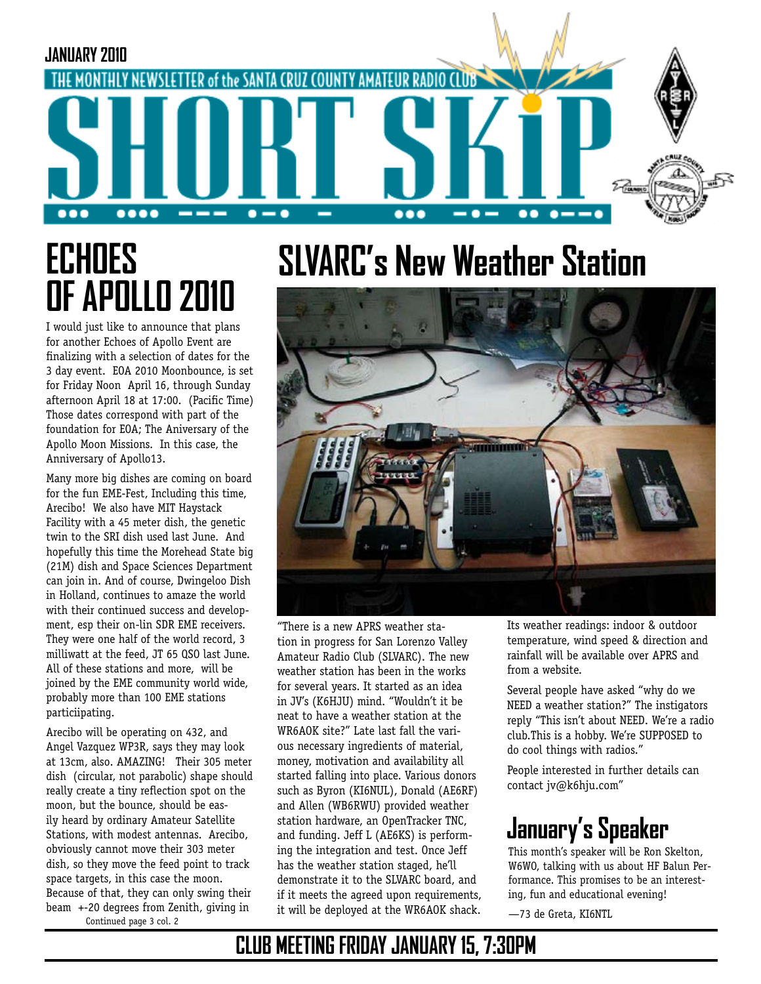

# **ECHOES OF APOLLO 2010**

I would just like to announce that plans for another Echoes of Apollo Event are finalizing with a selection of dates for the 3 day event. EOA 2010 Moonbounce, is set for Friday Noon April 16, through Sunday afternoon April 18 at 17:00. (Pacific Time) Those dates correspond with part of the foundation for EOA; The Aniversary of the Apollo Moon Missions. In this case, the Anniversary of Apollo13.

Many more big dishes are coming on board for the fun EME-Fest, Including this time, Arecibo! We also have MIT Haystack Facility with a 45 meter dish, the genetic twin to the SRI dish used last June. And hopefully this time the Morehead State big (21M) dish and Space Sciences Department can join in. And of course, Dwingeloo Dish in Holland, continues to amaze the world with their continued success and development, esp their on-lin SDR EME receivers. They were one half of the world record, 3 milliwatt at the feed, JT 65 QSO last June. All of these stations and more, will be joined by the EME community world wide, probably more than 100 EME stations particiipating.

Arecibo will be operating on 432, and Angel Vazquez WP3R, says they may look at 13cm, also. AMAZING! Their 305 meter dish (circular, not parabolic) shape should really create a tiny reflection spot on the moon, but the bounce, should be easily heard by ordinary Amateur Satellite Stations, with modest antennas. Arecibo, obviously cannot move their 303 meter dish, so they move the feed point to track space targets, in this case the moon. Because of that, they can only swing their beam +-20 degrees from Zenith, giving in Continued page 3 col. 2

# **SLVARC's New Weather Station**



"There is a new APRS weather station in progress for San Lorenzo Valley Amateur Radio Club (SLVARC). The new weather station has been in the works for several years. It started as an idea in JV's (K6HJU) mind. "Wouldn't it be neat to have a weather station at the WR6AOK site?" Late last fall the various necessary ingredients of material, money, motivation and availability all started falling into place. Various donors such as Byron (KI6NUL), Donald (AE6RF) and Allen (WB6RWU) provided weather station hardware, an OpenTracker TNC, and funding. Jeff L (AE6KS) is performing the integration and test. Once Jeff has the weather station staged, he'll demonstrate it to the SLVARC board, and if it meets the agreed upon requirements, it will be deployed at the WR6AOK shack.

Its weather readings: indoor & outdoor temperature, wind speed & direction and rainfall will be available over APRS and from a website.

Several people have asked "why do we NEED a weather station?" The instigators reply "This isn't about NEED. We're a radio club.This is a hobby. We're SUPPOSED to do cool things with radios."

People interested in further details can contact jv@k6hju.com"

### **January's Speaker**

This month's speaker will be Ron Skelton, W6WO, talking with us about HF Balun Performance. This promises to be an interesting, fun and educational evening!

—73 de Greta, KI6NTL

### **CLUB MEETING FRIDAY JANUARY 15, 7:30PM**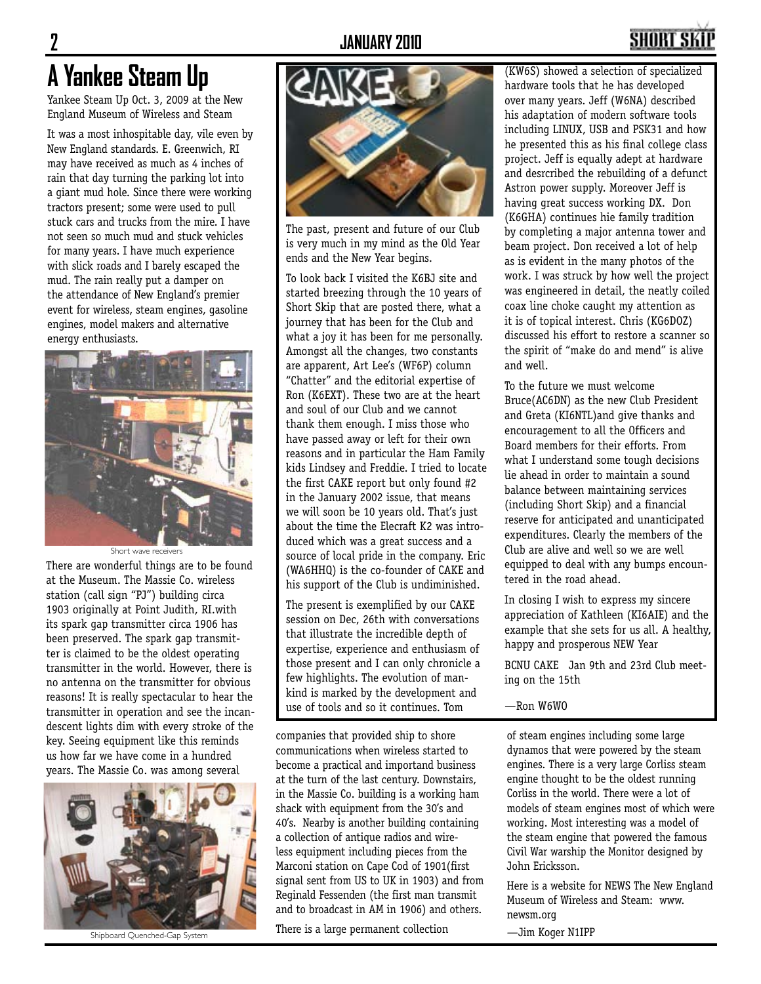## SHART S

## **A Yankee Steam Up**

Yankee Steam Up Oct. 3, 2009 at the New England Museum of Wireless and Steam

It was a most inhospitable day, vile even by New England standards. E. Greenwich, RI may have received as much as 4 inches of rain that day turning the parking lot into a giant mud hole. Since there were working tractors present; some were used to pull stuck cars and trucks from the mire. I have not seen so much mud and stuck vehicles for many years. I have much experience with slick roads and I barely escaped the mud. The rain really put a damper on the attendance of New England's premier event for wireless, steam engines, gasoline engines, model makers and alternative energy enthusiasts.



There are wonderful things are to be found at the Museum. The Massie Co. wireless station (call sign "PJ") building circa 1903 originally at Point Judith, RI.with its spark gap transmitter circa 1906 has been preserved. The spark gap transmitter is claimed to be the oldest operating transmitter in the world. However, there is no antenna on the transmitter for obvious reasons! It is really spectacular to hear the transmitter in operation and see the incandescent lights dim with every stroke of the key. Seeing equipment like this reminds us how far we have come in a hundred years. The Massie Co. was among several Short wave receivers





The past, present and future of our Club is very much in my mind as the Old Year ends and the New Year begins.

To look back I visited the K6BJ site and started breezing through the 10 years of Short Skip that are posted there, what a journey that has been for the Club and what a joy it has been for me personally. Amongst all the changes, two constants are apparent, Art Lee's (WF6P) column "Chatter" and the editorial expertise of Ron (K6EXT). These two are at the heart and soul of our Club and we cannot thank them enough. I miss those who have passed away or left for their own reasons and in particular the Ham Family kids Lindsey and Freddie. I tried to locate the first CAKE report but only found #2 in the January 2002 issue, that means we will soon be 10 years old. That's just about the time the Elecraft K2 was introduced which was a great success and a source of local pride in the company. Eric (WA6HHQ) is the co-founder of CAKE and his support of the Club is undiminished.

The present is exemplified by our CAKE session on Dec, 26th with conversations that illustrate the incredible depth of expertise, experience and enthusiasm of those present and I can only chronicle a few highlights. The evolution of mankind is marked by the development and use of tools and so it continues. Tom

companies that provided ship to shore communications when wireless started to become a practical and importand business at the turn of the last century. Downstairs, in the Massie Co. building is a working ham shack with equipment from the 30's and 40's. Nearby is another building containing a collection of antique radios and wireless equipment including pieces from the Marconi station on Cape Cod of 1901(first signal sent from US to UK in 1903) and from Reginald Fessenden (the first man transmit and to broadcast in AM in 1906) and others.

Shipboard Quenched-Gap System **Finally Contains a Large permanent collection** The Detail and The Mager N1IPP

(KW6S) showed a selection of specialized hardware tools that he has developed over many years. Jeff (W6NA) described his adaptation of modern software tools including LINUX, USB and PSK31 and how he presented this as his final college class project. Jeff is equally adept at hardware and desrcribed the rebuilding of a defunct Astron power supply. Moreover Jeff is having great success working DX. Don (K6GHA) continues hie family tradition by completing a major antenna tower and beam project. Don received a lot of help as is evident in the many photos of the work. I was struck by how well the project was engineered in detail, the neatly coiled coax line choke caught my attention as it is of topical interest. Chris (KG6DOZ) discussed his effort to restore a scanner so the spirit of "make do and mend" is alive and well.

To the future we must welcome Bruce(AC6DN) as the new Club President and Greta (KI6NTL)and give thanks and encouragement to all the Officers and Board members for their efforts. From what I understand some tough decisions lie ahead in order to maintain a sound balance between maintaining services (including Short Skip) and a financial reserve for anticipated and unanticipated expenditures. Clearly the members of the Club are alive and well so we are well equipped to deal with any bumps encountered in the road ahead.

In closing I wish to express my sincere appreciation of Kathleen (KI6AIE) and the example that she sets for us all. A healthy, happy and prosperous NEW Year

BCNU CAKE Jan 9th and 23rd Club meeting on the 15th

—Ron W6WO

of steam engines including some large dynamos that were powered by the steam engines. There is a very large Corliss steam engine thought to be the oldest running Corliss in the world. There were a lot of models of steam engines most of which were working. Most interesting was a model of the steam engine that powered the famous Civil War warship the Monitor designed by John Ericksson.

Here is a website for NEWS The New England Museum of Wireless and Steam: www. newsm.org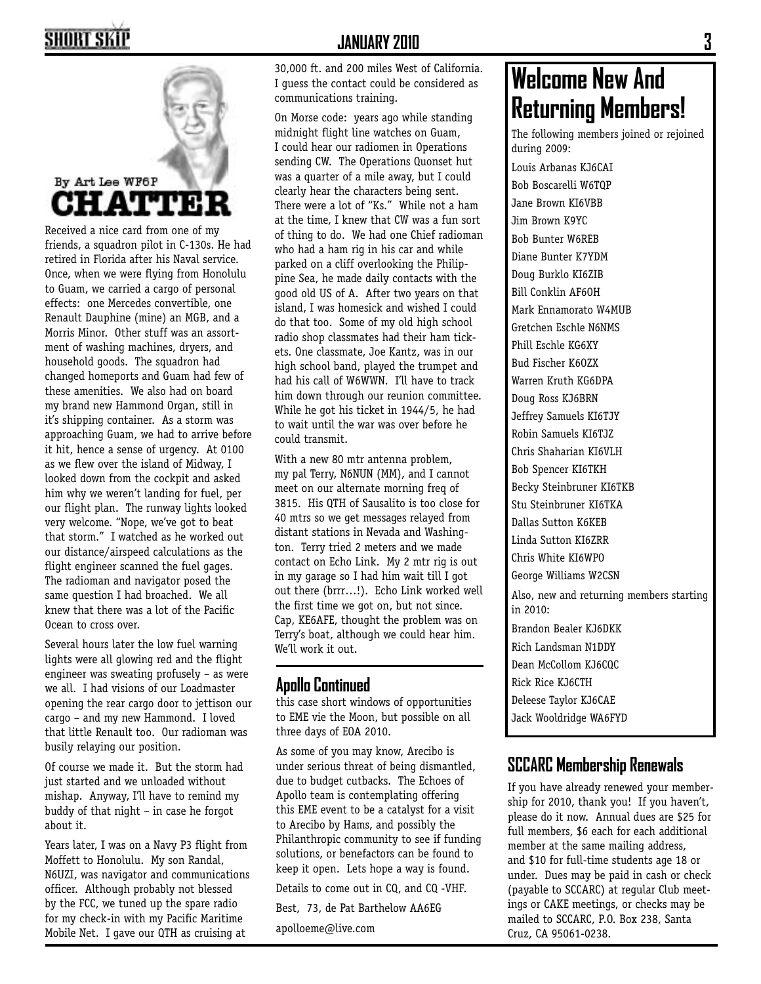

Received a nice card from one of my friends, a squadron pilot in C-130s. He had retired in Florida after his Naval service. Once, when we were flying from Honolulu to Guam, we carried a cargo of personal effects: one Mercedes convertible, one Renault Dauphine (mine) an MGB, and a Morris Minor. Other stuff was an assortment of washing machines, dryers, and household goods. The squadron had changed homeports and Guam had few of these amenities. We also had on board my brand new Hammond Organ, still in it's shipping container. As a storm was approaching Guam, we had to arrive before it hit, hence a sense of urgency. At 0100 as we flew over the island of Midway, I looked down from the cockpit and asked him why we weren't landing for fuel, per our flight plan. The runway lights looked very welcome. "Nope, we've got to beat that storm." I watched as he worked out our distance/airspeed calculations as the flight engineer scanned the fuel gages. The radioman and navigator posed the same question I had broached. We all knew that there was a lot of the Pacific Ocean to cross over.

Several hours later the low fuel warning lights were all glowing red and the flight engineer was sweating profusely – as were we all. I had visions of our Loadmaster opening the rear cargo door to jettison our cargo – and my new Hammond. I loved that little Renault too. Our radioman was busily relaying our position.

Of course we made it. But the storm had just started and we unloaded without mishap. Anyway, I'll have to remind my buddy of that night – in case he forgot about it.

Years later, I was on a Navy P3 flight from Moffett to Honolulu. My son Randal, N6UZI, was navigator and communications officer. Although probably not blessed by the FCC, we tuned up the spare radio for my check-in with my Pacific Maritime Mobile Net. I gave our QTH as cruising at

30,000 ft. and 200 miles West of California. I guess the contact could be considered as communications training.

On Morse code: years ago while standing midnight flight line watches on Guam, I could hear our radiomen in Operations sending CW. The Operations Quonset hut was a quarter of a mile away, but I could clearly hear the characters being sent. There were a lot of "Ks." While not a ham at the time, I knew that CW was a fun sort of thing to do. We had one Chief radioman who had a ham rig in his car and while parked on a cliff overlooking the Philippine Sea, he made daily contacts with the good old US of A. After two years on that island, I was homesick and wished I could do that too. Some of my old high school radio shop classmates had their ham tickets. One classmate, Joe Kantz, was in our high school band, played the trumpet and had his call of W6WWN. I'll have to track him down through our reunion committee. While he got his ticket in 1944/5, he had to wait until the war was over before he could transmit.

With a new 80 mtr antenna problem, my pal Terry, N6NUN (MM), and I cannot meet on our alternate morning freq of 3815. His QTH of Sausalito is too close for 40 mtrs so we get messages relayed from distant stations in Nevada and Washington. Terry tried 2 meters and we made contact on Echo Link. My 2 mtr rig is out in my garage so I had him wait till I got out there (brrr…!). Echo Link worked well the first time we got on, but not since. Cap, KE6AFE, thought the problem was on Terry's boat, although we could hear him. We'll work it out.

### **Apollo Continued**

this case short windows of opportunities to EME vie the Moon, but possible on all three days of EOA 2010.

As some of you may know, Arecibo is under serious threat of being dismantled, due to budget cutbacks. The Echoes of Apollo team is contemplating offering this EME event to be a catalyst for a visit to Arecibo by Hams, and possibly the Philanthropic community to see if funding solutions, or benefactors can be found to keep it open. Lets hope a way is found.

Details to come out in CQ, and CQ -VHF.

Best, 73, de Pat Barthelow AA6EG

apolloeme@live.com

### **Welcome New And Returning Members!**

The following members joined or rejoined during 2009:

Louis Arbanas KJ6CAI Bob Boscarelli W6TQP Jane Brown KI6VBB Jim Brown K9YC Bob Bunter W6REB Diane Bunter K7YDM Doug Burklo KI6ZIB Bill Conklin AF6OH Mark Ennamorato W4MUB Gretchen Eschle N6NMS Phill Eschle KG6XY Bud Fischer K6OZX Warren Kruth KG6DPA Doug Ross KJ6BRN Jeffrey Samuels KI6TJY Robin Samuels KI6TJZ Chris Shaharian KI6VLH Bob Spencer KI6TKH Becky Steinbruner KI6TKB Stu Steinbruner KI6TKA Dallas Sutton K6KEB Linda Sutton KI6ZRR Chris White KI6WPO George Williams W2CSN Also, new and returning members starting in 2010: Brandon Bealer KJ6DKK Rich Landsman N1DDY Dean McCollom KJ6CQC Rick Rice KJ6CTH Deleese Taylor KJ6CAE Jack Wooldridge WA6FYD

### **SCCARC Membership Renewals**

If you have already renewed your membership for 2010, thank you! If you haven't, please do it now. Annual dues are \$25 for full members, \$6 each for each additional member at the same mailing address, and \$10 for full-time students age 18 or under. Dues may be paid in cash or check (payable to SCCARC) at regular Club meetings or CAKE meetings, or checks may be mailed to SCCARC, P.O. Box 238, Santa Cruz, CA 95061-0238.